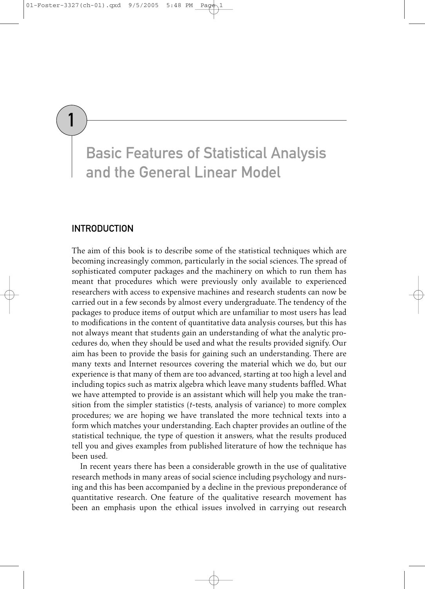# Basic Features of Statistical Analysis and the General Linear Model

# INTRODUCTION

1

The aim of this book is to describe some of the statistical techniques which are becoming increasingly common, particularly in the social sciences. The spread of sophisticated computer packages and the machinery on which to run them has meant that procedures which were previously only available to experienced researchers with access to expensive machines and research students can now be carried out in a few seconds by almost every undergraduate. The tendency of the packages to produce items of output which are unfamiliar to most users has lead to modifications in the content of quantitative data analysis courses, but this has not always meant that students gain an understanding of what the analytic procedures do, when they should be used and what the results provided signify. Our aim has been to provide the basis for gaining such an understanding. There are many texts and Internet resources covering the material which we do, but our experience is that many of them are too advanced, starting at too high a level and including topics such as matrix algebra which leave many students baffled. What we have attempted to provide is an assistant which will help you make the transition from the simpler statistics (*t*-tests, analysis of variance) to more complex procedures; we are hoping we have translated the more technical texts into a form which matches your understanding. Each chapter provides an outline of the statistical technique, the type of question it answers, what the results produced tell you and gives examples from published literature of how the technique has been used.

In recent years there has been a considerable growth in the use of qualitative research methods in many areas of social science including psychology and nursing and this has been accompanied by a decline in the previous preponderance of quantitative research. One feature of the qualitative research movement has been an emphasis upon the ethical issues involved in carrying out research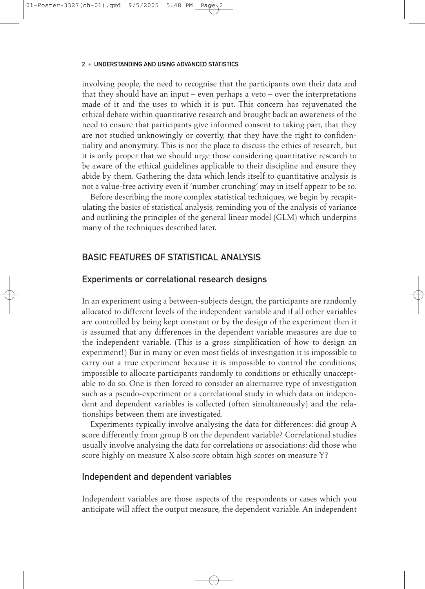involving people, the need to recognise that the participants own their data and that they should have an input – even perhaps a veto – over the interpretations made of it and the uses to which it is put. This concern has rejuvenated the ethical debate within quantitative research and brought back an awareness of the need to ensure that participants give informed consent to taking part, that they are not studied unknowingly or covertly, that they have the right to confidentiality and anonymity. This is not the place to discuss the ethics of research, but it is only proper that we should urge those considering quantitative research to be aware of the ethical guidelines applicable to their discipline and ensure they abide by them. Gathering the data which lends itself to quantitative analysis is not a value-free activity even if 'number crunching' may in itself appear to be so.

Before describing the more complex statistical techniques, we begin by recapitulating the basics of statistical analysis, reminding you of the analysis of variance and outlining the principles of the general linear model (GLM) which underpins many of the techniques described later.

# BASIC FEATURES OF STATISTICAL ANALYSIS

# Experiments or correlational research designs

In an experiment using a between-subjects design, the participants are randomly allocated to different levels of the independent variable and if all other variables are controlled by being kept constant or by the design of the experiment then it is assumed that any differences in the dependent variable measures are due to the independent variable. (This is a gross simplification of how to design an experiment!) But in many or even most fields of investigation it is impossible to carry out a true experiment because it is impossible to control the conditions, impossible to allocate participants randomly to conditions or ethically unacceptable to do so. One is then forced to consider an alternative type of investigation such as a pseudo-experiment or a correlational study in which data on independent and dependent variables is collected (often simultaneously) and the relationships between them are investigated.

Experiments typically involve analysing the data for differences: did group A score differently from group B on the dependent variable? Correlational studies usually involve analysing the data for correlations or associations: did those who score highly on measure X also score obtain high scores on measure Y?

# Independent and dependent variables

Independent variables are those aspects of the respondents or cases which you anticipate will affect the output measure, the dependent variable. An independent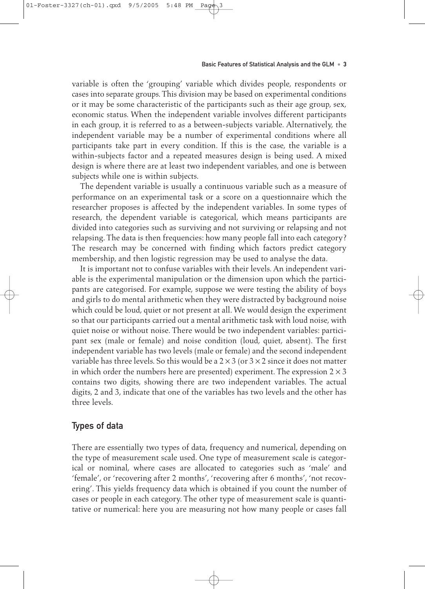variable is often the 'grouping' variable which divides people, respondents or cases into separate groups. This division may be based on experimental conditions or it may be some characteristic of the participants such as their age group, sex, economic status. When the independent variable involves different participants in each group, it is referred to as a between-subjects variable. Alternatively, the independent variable may be a number of experimental conditions where all participants take part in every condition. If this is the case, the variable is a within-subjects factor and a repeated measures design is being used. A mixed design is where there are at least two independent variables, and one is between subjects while one is within subjects.

The dependent variable is usually a continuous variable such as a measure of performance on an experimental task or a score on a questionnaire which the researcher proposes is affected by the independent variables. In some types of research, the dependent variable is categorical, which means participants are divided into categories such as surviving and not surviving or relapsing and not relapsing. The data is then frequencies: how many people fall into each category? The research may be concerned with finding which factors predict category membership, and then logistic regression may be used to analyse the data.

It is important not to confuse variables with their levels. An independent variable is the experimental manipulation or the dimension upon which the participants are categorised. For example, suppose we were testing the ability of boys and girls to do mental arithmetic when they were distracted by background noise which could be loud, quiet or not present at all. We would design the experiment so that our participants carried out a mental arithmetic task with loud noise, with quiet noise or without noise. There would be two independent variables: participant sex (male or female) and noise condition (loud, quiet, absent). The first independent variable has two levels (male or female) and the second independent variable has three levels. So this would be a  $2 \times 3$  (or  $3 \times 2$  since it does not matter in which order the numbers here are presented) experiment. The expression  $2 \times 3$ contains two digits, showing there are two independent variables. The actual digits, 2 and 3, indicate that one of the variables has two levels and the other has three levels.

# Types of data

There are essentially two types of data, frequency and numerical, depending on the type of measurement scale used. One type of measurement scale is categorical or nominal, where cases are allocated to categories such as 'male' and 'female', or 'recovering after 2 months', 'recovering after 6 months', 'not recovering'. This yields frequency data which is obtained if you count the number of cases or people in each category. The other type of measurement scale is quantitative or numerical: here you are measuring not how many people or cases fall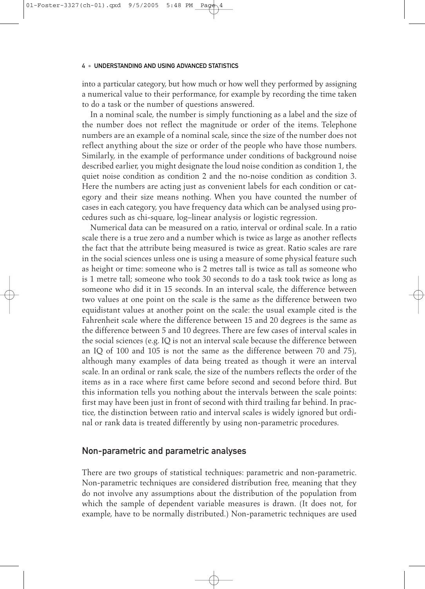into a particular category, but how much or how well they performed by assigning a numerical value to their performance, for example by recording the time taken to do a task or the number of questions answered.

In a nominal scale, the number is simply functioning as a label and the size of the number does not reflect the magnitude or order of the items. Telephone numbers are an example of a nominal scale, since the size of the number does not reflect anything about the size or order of the people who have those numbers. Similarly, in the example of performance under conditions of background noise described earlier, you might designate the loud noise condition as condition 1, the quiet noise condition as condition 2 and the no-noise condition as condition 3. Here the numbers are acting just as convenient labels for each condition or category and their size means nothing. When you have counted the number of cases in each category, you have frequency data which can be analysed using procedures such as chi-square, log–linear analysis or logistic regression.

Numerical data can be measured on a ratio, interval or ordinal scale. In a ratio scale there is a true zero and a number which is twice as large as another reflects the fact that the attribute being measured is twice as great. Ratio scales are rare in the social sciences unless one is using a measure of some physical feature such as height or time: someone who is 2 metres tall is twice as tall as someone who is 1 metre tall; someone who took 30 seconds to do a task took twice as long as someone who did it in 15 seconds. In an interval scale, the difference between two values at one point on the scale is the same as the difference between two equidistant values at another point on the scale: the usual example cited is the Fahrenheit scale where the difference between 15 and 20 degrees is the same as the difference between 5 and 10 degrees. There are few cases of interval scales in the social sciences (e.g. IQ is not an interval scale because the difference between an IQ of 100 and 105 is not the same as the difference between 70 and 75), although many examples of data being treated as though it were an interval scale. In an ordinal or rank scale, the size of the numbers reflects the order of the items as in a race where first came before second and second before third. But this information tells you nothing about the intervals between the scale points: first may have been just in front of second with third trailing far behind. In practice, the distinction between ratio and interval scales is widely ignored but ordinal or rank data is treated differently by using non-parametric procedures.

# Non-parametric and parametric analyses

There are two groups of statistical techniques: parametric and non-parametric. Non-parametric techniques are considered distribution free, meaning that they do not involve any assumptions about the distribution of the population from which the sample of dependent variable measures is drawn. (It does not, for example, have to be normally distributed.) Non-parametric techniques are used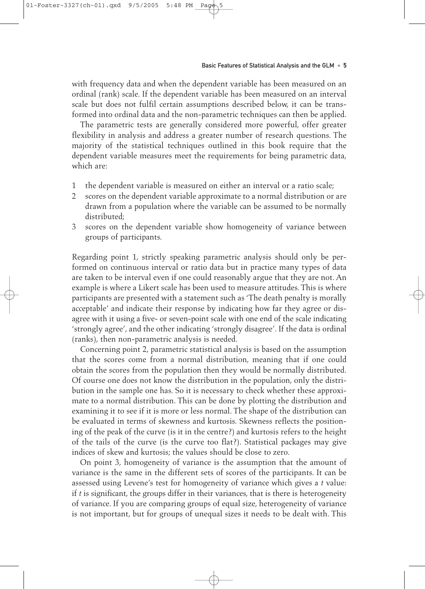with frequency data and when the dependent variable has been measured on an ordinal (rank) scale. If the dependent variable has been measured on an interval scale but does not fulfil certain assumptions described below, it can be transformed into ordinal data and the non-parametric techniques can then be applied.

01-Foster-3327(ch-01).qxd 9/5/2005

The parametric tests are generally considered more powerful, offer greater flexibility in analysis and address a greater number of research questions. The majority of the statistical techniques outlined in this book require that the dependent variable measures meet the requirements for being parametric data, which are:

- 1 the dependent variable is measured on either an interval or a ratio scale;
- 2 scores on the dependent variable approximate to a normal distribution or are drawn from a population where the variable can be assumed to be normally distributed;
- 3 scores on the dependent variable show homogeneity of variance between groups of participants.

Regarding point 1, strictly speaking parametric analysis should only be performed on continuous interval or ratio data but in practice many types of data are taken to be interval even if one could reasonably argue that they are not. An example is where a Likert scale has been used to measure attitudes. This is where participants are presented with a statement such as 'The death penalty is morally acceptable' and indicate their response by indicating how far they agree or disagree with it using a five- or seven-point scale with one end of the scale indicating 'strongly agree', and the other indicating 'strongly disagree'. If the data is ordinal (ranks), then non-parametric analysis is needed.

Concerning point 2, parametric statistical analysis is based on the assumption that the scores come from a normal distribution, meaning that if one could obtain the scores from the population then they would be normally distributed. Of course one does not know the distribution in the population, only the distribution in the sample one has. So it is necessary to check whether these approximate to a normal distribution. This can be done by plotting the distribution and examining it to see if it is more or less normal. The shape of the distribution can be evaluated in terms of skewness and kurtosis. Skewness reflects the positioning of the peak of the curve (is it in the centre?) and kurtosis refers to the height of the tails of the curve (is the curve too flat?). Statistical packages may give indices of skew and kurtosis; the values should be close to zero.

On point 3, homogeneity of variance is the assumption that the amount of variance is the same in the different sets of scores of the participants. It can be assessed using Levene's test for homogeneity of variance which gives a *t* value: if *t* is significant, the groups differ in their variances, that is there is heterogeneity of variance. If you are comparing groups of equal size, heterogeneity of variance is not important, but for groups of unequal sizes it needs to be dealt with. This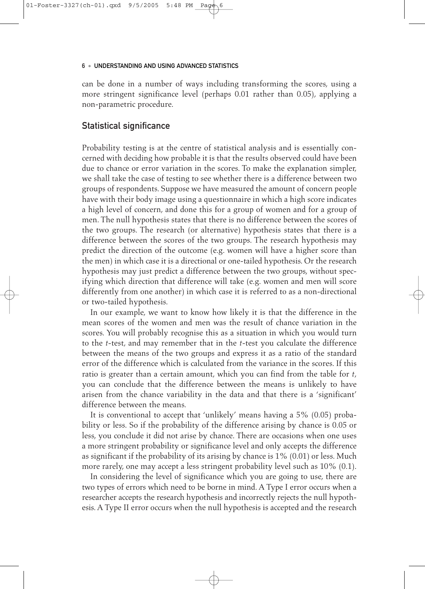can be done in a number of ways including transforming the scores, using a more stringent significance level (perhaps 0.01 rather than 0.05), applying a non-parametric procedure.

# Statistical significance

Probability testing is at the centre of statistical analysis and is essentially concerned with deciding how probable it is that the results observed could have been due to chance or error variation in the scores. To make the explanation simpler, we shall take the case of testing to see whether there is a difference between two groups of respondents. Suppose we have measured the amount of concern people have with their body image using a questionnaire in which a high score indicates a high level of concern, and done this for a group of women and for a group of men. The null hypothesis states that there is no difference between the scores of the two groups. The research (or alternative) hypothesis states that there is a difference between the scores of the two groups. The research hypothesis may predict the direction of the outcome (e.g. women will have a higher score than the men) in which case it is a directional or one-tailed hypothesis. Or the research hypothesis may just predict a difference between the two groups, without specifying which direction that difference will take (e.g. women and men will score differently from one another) in which case it is referred to as a non-directional or two-tailed hypothesis.

In our example, we want to know how likely it is that the difference in the mean scores of the women and men was the result of chance variation in the scores. You will probably recognise this as a situation in which you would turn to the *t*-test, and may remember that in the *t*-test you calculate the difference between the means of the two groups and express it as a ratio of the standard error of the difference which is calculated from the variance in the scores. If this ratio is greater than a certain amount, which you can find from the table for *t*, you can conclude that the difference between the means is unlikely to have arisen from the chance variability in the data and that there is a 'significant' difference between the means.

It is conventional to accept that 'unlikely' means having a 5% (0.05) probability or less. So if the probability of the difference arising by chance is 0.05 or less, you conclude it did not arise by chance. There are occasions when one uses a more stringent probability or significance level and only accepts the difference as significant if the probability of its arising by chance is 1% (0.01) or less. Much more rarely, one may accept a less stringent probability level such as 10% (0.1).

In considering the level of significance which you are going to use, there are two types of errors which need to be borne in mind. A Type I error occurs when a researcher accepts the research hypothesis and incorrectly rejects the null hypothesis. A Type II error occurs when the null hypothesis is accepted and the research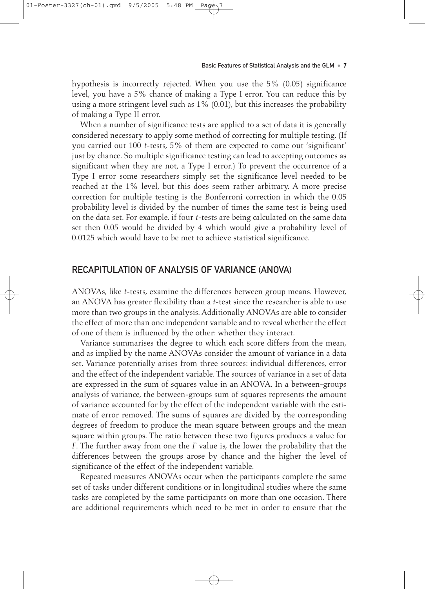hypothesis is incorrectly rejected. When you use the 5% (0.05) significance level, you have a 5% chance of making a Type I error. You can reduce this by using a more stringent level such as 1% (0.01), but this increases the probability of making a Type II error.

When a number of significance tests are applied to a set of data it is generally considered necessary to apply some method of correcting for multiple testing. (If you carried out 100 *t*-tests, 5% of them are expected to come out 'significant' just by chance. So multiple significance testing can lead to accepting outcomes as significant when they are not, a Type I error.) To prevent the occurrence of a Type I error some researchers simply set the significance level needed to be reached at the 1% level, but this does seem rather arbitrary. A more precise correction for multiple testing is the Bonferroni correction in which the 0.05 probability level is divided by the number of times the same test is being used on the data set. For example, if four *t*-tests are being calculated on the same data set then 0.05 would be divided by 4 which would give a probability level of 0.0125 which would have to be met to achieve statistical significance.

# RECAPITULATION OF ANALYSIS OF VARIANCE (ANOVA)

ANOVAs, like *t*-tests, examine the differences between group means. However, an ANOVA has greater flexibility than a *t*-test since the researcher is able to use more than two groups in the analysis. Additionally ANOVAs are able to consider the effect of more than one independent variable and to reveal whether the effect of one of them is influenced by the other: whether they interact.

Variance summarises the degree to which each score differs from the mean, and as implied by the name ANOVAs consider the amount of variance in a data set. Variance potentially arises from three sources: individual differences, error and the effect of the independent variable. The sources of variance in a set of data are expressed in the sum of squares value in an ANOVA. In a between-groups analysis of variance, the between-groups sum of squares represents the amount of variance accounted for by the effect of the independent variable with the estimate of error removed. The sums of squares are divided by the corresponding degrees of freedom to produce the mean square between groups and the mean square within groups. The ratio between these two figures produces a value for *F*. The further away from one the *F* value is, the lower the probability that the differences between the groups arose by chance and the higher the level of significance of the effect of the independent variable.

Repeated measures ANOVAs occur when the participants complete the same set of tasks under different conditions or in longitudinal studies where the same tasks are completed by the same participants on more than one occasion. There are additional requirements which need to be met in order to ensure that the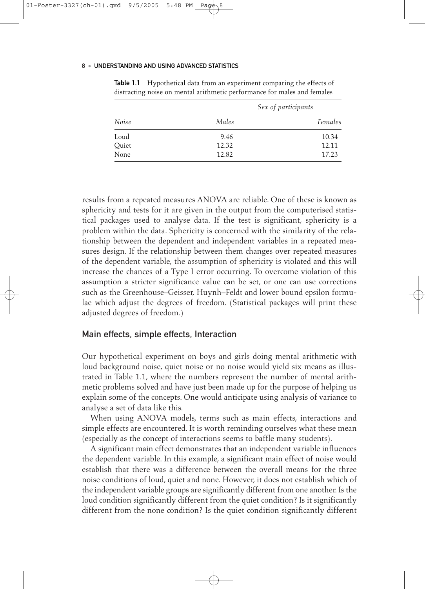| Noise | Sex of participants |         |
|-------|---------------------|---------|
|       | Males               | Females |
| Loud  | 9.46                | 10.34   |
| Quiet | 12.32               | 12.11   |
| None  | 12.82               | 17.23   |

Table 1.1 Hypothetical data from an experiment comparing the effects of distracting noise on mental arithmetic performance for males and females

results from a repeated measures ANOVA are reliable. One of these is known as sphericity and tests for it are given in the output from the computerised statistical packages used to analyse data. If the test is significant, sphericity is a problem within the data. Sphericity is concerned with the similarity of the relationship between the dependent and independent variables in a repeated measures design. If the relationship between them changes over repeated measures of the dependent variable, the assumption of sphericity is violated and this will increase the chances of a Type I error occurring. To overcome violation of this assumption a stricter significance value can be set, or one can use corrections such as the Greenhouse–Geisser, Huynh–Feldt and lower bound epsilon formulae which adjust the degrees of freedom. (Statistical packages will print these adjusted degrees of freedom.)

## Main effects, simple effects, Interaction

Our hypothetical experiment on boys and girls doing mental arithmetic with loud background noise, quiet noise or no noise would yield six means as illustrated in Table 1.1, where the numbers represent the number of mental arithmetic problems solved and have just been made up for the purpose of helping us explain some of the concepts. One would anticipate using analysis of variance to analyse a set of data like this.

When using ANOVA models, terms such as main effects, interactions and simple effects are encountered. It is worth reminding ourselves what these mean (especially as the concept of interactions seems to baffle many students).

A significant main effect demonstrates that an independent variable influences the dependent variable. In this example, a significant main effect of noise would establish that there was a difference between the overall means for the three noise conditions of loud, quiet and none. However, it does not establish which of the independent variable groups are significantly different from one another. Is the loud condition significantly different from the quiet condition? Is it significantly different from the none condition? Is the quiet condition significantly different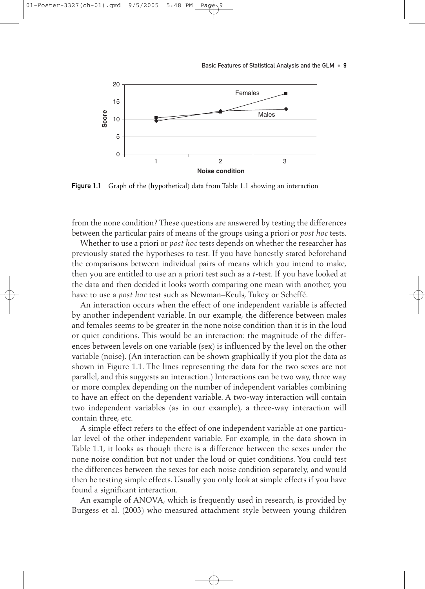



Figure 1.1 Graph of the (hypothetical) data from Table 1.1 showing an interaction

from the none condition? These questions are answered by testing the differences between the particular pairs of means of the groups using a priori or *post hoc* tests.

Whether to use a priori or *post hoc* tests depends on whether the researcher has previously stated the hypotheses to test. If you have honestly stated beforehand the comparisons between individual pairs of means which you intend to make, then you are entitled to use an a priori test such as a *t*-test. If you have looked at the data and then decided it looks worth comparing one mean with another, you have to use a *post hoc* test such as Newman–Keuls, Tukey or Scheffé.

An interaction occurs when the effect of one independent variable is affected by another independent variable. In our example, the difference between males and females seems to be greater in the none noise condition than it is in the loud or quiet conditions. This would be an interaction: the magnitude of the differences between levels on one variable (sex) is influenced by the level on the other variable (noise). (An interaction can be shown graphically if you plot the data as shown in Figure 1.1. The lines representing the data for the two sexes are not parallel, and this suggests an interaction.) Interactions can be two way, three way or more complex depending on the number of independent variables combining to have an effect on the dependent variable. A two-way interaction will contain two independent variables (as in our example), a three-way interaction will contain three, etc.

A simple effect refers to the effect of one independent variable at one particular level of the other independent variable. For example, in the data shown in Table 1.1, it looks as though there is a difference between the sexes under the none noise condition but not under the loud or quiet conditions. You could test the differences between the sexes for each noise condition separately, and would then be testing simple effects. Usually you only look at simple effects if you have found a significant interaction.

An example of ANOVA, which is frequently used in research, is provided by Burgess et al. (2003) who measured attachment style between young children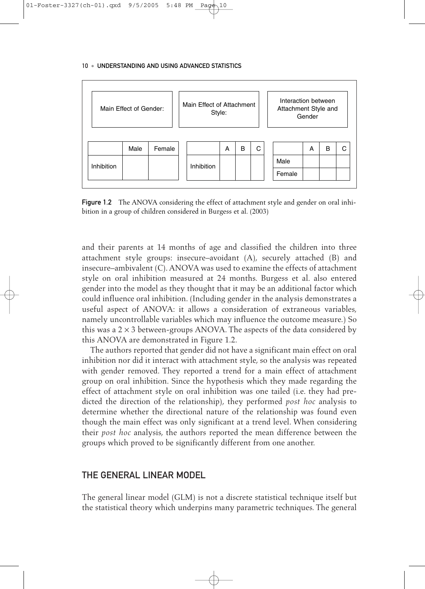

Figure 1.2 The ANOVA considering the effect of attachment style and gender on oral inhibition in a group of children considered in Burgess et al. (2003)

and their parents at 14 months of age and classified the children into three attachment style groups: insecure–avoidant (A), securely attached (B) and insecure–ambivalent (C). ANOVA was used to examine the effects of attachment style on oral inhibition measured at 24 months. Burgess et al. also entered gender into the model as they thought that it may be an additional factor which could influence oral inhibition. (Including gender in the analysis demonstrates a useful aspect of ANOVA: it allows a consideration of extraneous variables, namely uncontrollable variables which may influence the outcome measure.) So this was a  $2 \times 3$  between-groups ANOVA. The aspects of the data considered by this ANOVA are demonstrated in Figure 1.2.

The authors reported that gender did not have a significant main effect on oral inhibition nor did it interact with attachment style, so the analysis was repeated with gender removed. They reported a trend for a main effect of attachment group on oral inhibition. Since the hypothesis which they made regarding the effect of attachment style on oral inhibition was one tailed (i.e. they had predicted the direction of the relationship), they performed *post hoc* analysis to determine whether the directional nature of the relationship was found even though the main effect was only significant at a trend level. When considering their *post hoc* analysis, the authors reported the mean difference between the groups which proved to be significantly different from one another.

# THE GENERAL LINEAR MODEL

The general linear model (GLM) is not a discrete statistical technique itself but the statistical theory which underpins many parametric techniques. The general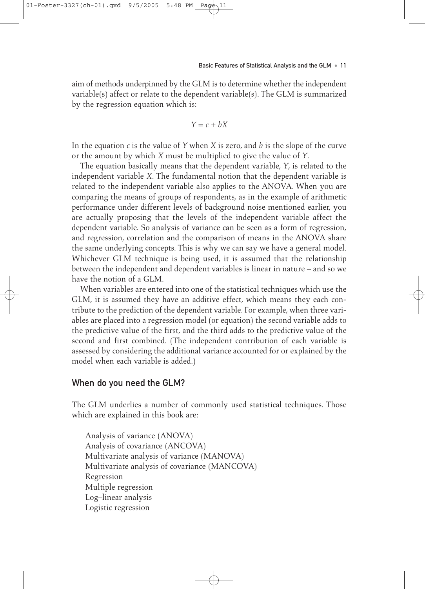aim of methods underpinned by the GLM is to determine whether the independent variable(s) affect or relate to the dependent variable(s). The GLM is summarized by the regression equation which is:

$$
Y = c + bX
$$

In the equation *c* is the value of *Y* when *X* is zero, and *b* is the slope of the curve or the amount by which *X* must be multiplied to give the value of *Y*.

The equation basically means that the dependent variable, *Y*, is related to the independent variable *X*. The fundamental notion that the dependent variable is related to the independent variable also applies to the ANOVA. When you are comparing the means of groups of respondents, as in the example of arithmetic performance under different levels of background noise mentioned earlier, you are actually proposing that the levels of the independent variable affect the dependent variable. So analysis of variance can be seen as a form of regression, and regression, correlation and the comparison of means in the ANOVA share the same underlying concepts. This is why we can say we have a general model. Whichever GLM technique is being used, it is assumed that the relationship between the independent and dependent variables is linear in nature – and so we have the notion of a GLM.

When variables are entered into one of the statistical techniques which use the GLM, it is assumed they have an additive effect, which means they each contribute to the prediction of the dependent variable. For example, when three variables are placed into a regression model (or equation) the second variable adds to the predictive value of the first, and the third adds to the predictive value of the second and first combined. (The independent contribution of each variable is assessed by considering the additional variance accounted for or explained by the model when each variable is added.)

# When do you need the GLM?

The GLM underlies a number of commonly used statistical techniques. Those which are explained in this book are:

Analysis of variance (ANOVA) Analysis of covariance (ANCOVA) Multivariate analysis of variance (MANOVA) Multivariate analysis of covariance (MANCOVA) Regression Multiple regression Log–linear analysis Logistic regression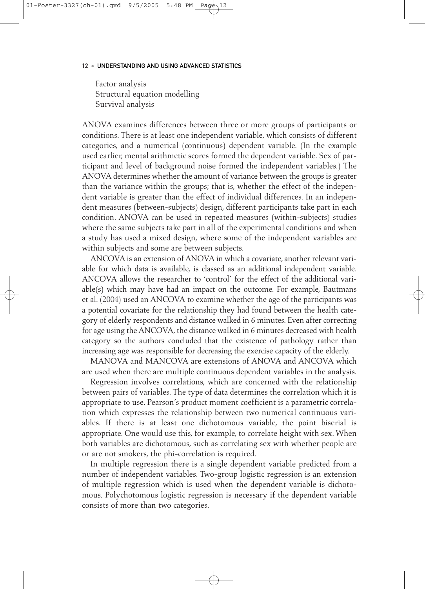Factor analysis Structural equation modelling Survival analysis

ANOVA examines differences between three or more groups of participants or conditions. There is at least one independent variable, which consists of different categories, and a numerical (continuous) dependent variable. (In the example used earlier, mental arithmetic scores formed the dependent variable. Sex of participant and level of background noise formed the independent variables.) The ANOVA determines whether the amount of variance between the groups is greater than the variance within the groups; that is, whether the effect of the independent variable is greater than the effect of individual differences. In an independent measures (between-subjects) design, different participants take part in each condition. ANOVA can be used in repeated measures (within-subjects) studies where the same subjects take part in all of the experimental conditions and when a study has used a mixed design, where some of the independent variables are within subjects and some are between subjects.

ANCOVA is an extension of ANOVA in which a covariate, another relevant variable for which data is available, is classed as an additional independent variable. ANCOVA allows the researcher to 'control' for the effect of the additional variable(s) which may have had an impact on the outcome. For example, Bautmans et al. (2004) used an ANCOVA to examine whether the age of the participants was a potential covariate for the relationship they had found between the health category of elderly respondents and distance walked in 6 minutes. Even after correcting for age using the ANCOVA, the distance walked in 6 minutes decreased with health category so the authors concluded that the existence of pathology rather than increasing age was responsible for decreasing the exercise capacity of the elderly.

MANOVA and MANCOVA are extensions of ANOVA and ANCOVA which are used when there are multiple continuous dependent variables in the analysis.

Regression involves correlations, which are concerned with the relationship between pairs of variables. The type of data determines the correlation which it is appropriate to use. Pearson's product moment coefficient is a parametric correlation which expresses the relationship between two numerical continuous variables. If there is at least one dichotomous variable, the point biserial is appropriate. One would use this, for example, to correlate height with sex. When both variables are dichotomous, such as correlating sex with whether people are or are not smokers, the phi-correlation is required.

In multiple regression there is a single dependent variable predicted from a number of independent variables. Two-group logistic regression is an extension of multiple regression which is used when the dependent variable is dichotomous. Polychotomous logistic regression is necessary if the dependent variable consists of more than two categories.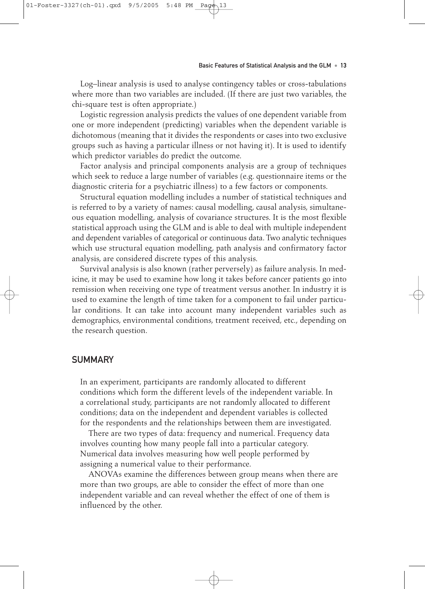Log–linear analysis is used to analyse contingency tables or cross-tabulations where more than two variables are included. (If there are just two variables, the chi-square test is often appropriate.)

Logistic regression analysis predicts the values of one dependent variable from one or more independent (predicting) variables when the dependent variable is dichotomous (meaning that it divides the respondents or cases into two exclusive groups such as having a particular illness or not having it). It is used to identify which predictor variables do predict the outcome.

Factor analysis and principal components analysis are a group of techniques which seek to reduce a large number of variables (e.g. questionnaire items or the diagnostic criteria for a psychiatric illness) to a few factors or components.

Structural equation modelling includes a number of statistical techniques and is referred to by a variety of names: causal modelling, causal analysis, simultaneous equation modelling, analysis of covariance structures. It is the most flexible statistical approach using the GLM and is able to deal with multiple independent and dependent variables of categorical or continuous data. Two analytic techniques which use structural equation modelling, path analysis and confirmatory factor analysis, are considered discrete types of this analysis.

Survival analysis is also known (rather perversely) as failure analysis. In medicine, it may be used to examine how long it takes before cancer patients go into remission when receiving one type of treatment versus another. In industry it is used to examine the length of time taken for a component to fail under particular conditions. It can take into account many independent variables such as demographics, environmental conditions, treatment received, etc., depending on the research question.

# **SUMMARY**

In an experiment, participants are randomly allocated to different conditions which form the different levels of the independent variable. In a correlational study, participants are not randomly allocated to different conditions; data on the independent and dependent variables is collected for the respondents and the relationships between them are investigated.

There are two types of data: frequency and numerical. Frequency data involves counting how many people fall into a particular category. Numerical data involves measuring how well people performed by assigning a numerical value to their performance.

ANOVAs examine the differences between group means when there are more than two groups, are able to consider the effect of more than one independent variable and can reveal whether the effect of one of them is influenced by the other.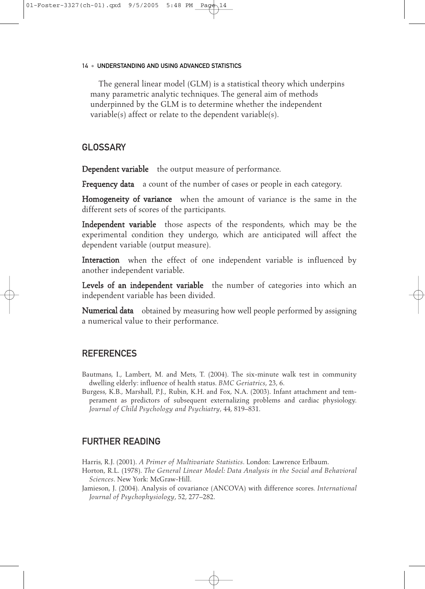The general linear model (GLM) is a statistical theory which underpins many parametric analytic techniques. The general aim of methods underpinned by the GLM is to determine whether the independent variable(s) affect or relate to the dependent variable(s).

# **GLOSSARY**

Dependent variable the output measure of performance.

**Frequency data** a count of the number of cases or people in each category.

Homogeneity of variance when the amount of variance is the same in the different sets of scores of the participants.

Independent variable those aspects of the respondents, which may be the experimental condition they undergo, which are anticipated will affect the dependent variable (output measure).

Interaction when the effect of one independent variable is influenced by another independent variable.

Levels of an independent variable the number of categories into which an independent variable has been divided.

Numerical data obtained by measuring how well people performed by assigning a numerical value to their performance.

## **REFERENCES**

- Bautmans, I., Lambert, M. and Mets, T. (2004). The six-minute walk test in community dwelling elderly: influence of health status. *BMC Geriatrics*, 23, 6.
- Burgess, K.B., Marshall, P.J., Rubin, K.H. and Fox, N.A. (2003). Infant attachment and temperament as predictors of subsequent externalizing problems and cardiac physiology. *Journal of Child Psychology and Psychiatry*, 44, 819–831.

# FURTHER READING

Harris, R.J. (2001). *A Primer of Multivariate Statistics*. London: Lawrence Erlbaum.

- Horton, R.L. (1978). *The General Linear Model: Data Analysis in the Social and Behavioral Sciences*. New York: McGraw-Hill.
- Jamieson, J. (2004). Analysis of covariance (ANCOVA) with difference scores. *International Journal of Psychophysiology*, 52, 277–282.